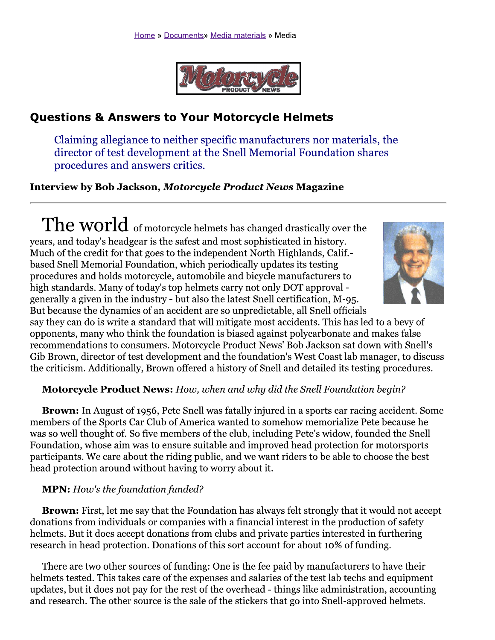

# **Questions & Answers to Your Motorcycle Helmets**

Claiming allegiance to neither specific manufacturers nor materials, the director of test development at the Snell Memorial Foundation shares procedures and answers critics.

**Interview by Bob Jackson, Motorcycle Product News Magazine** 

The world of motorcycle helmets has changed drastically over the years, and today's headgear is the safest and most sophisticated in history. Much of the credit for that goes to the independent North Highlands, Calif. based Snell Memorial Foundation, which periodically updates its testing procedures and holds motorcycle, automobile and bicycle manufacturers to high standards. Many of today's top helmets carry not only DOT approval generally a given in the industry - but also the latest Snell certification, M-95.



But because the dynamics of an accident are so unpredictable, all Snell officials say they can do is write a standard that will mitigate most accidents. This has led to a bevy of opponents, many who think the foundation is biased against polycarbonate and makes false recommendations to consumers. Motorcycle Product News' Bob Jackson sat down with Snell's Gib Brown, director of test development and the foundation's West Coast lab manager, to discuss the criticism. Additionally, Brown offered a history of Snell and detailed its testing procedures.

# **Motorcycle Product News:** How, when and why did the Snell Foundation begin?

**Brown:** In August of 1956, Pete Snell was fatally injured in a sports car racing accident. Some members of the Sports Car Club of America wanted to somehow memorialize Pete because he was so well thought of. So five members of the club, including Pete's widow, founded the Snell Foundation, whose aim was to ensure suitable and improved head protection for motorsports participants. We care about the riding public, and we want riders to be able to choose the best head protection around without having to worry about it.

# **MPN:** How's the foundation funded?

Brown: First, let me say that the Foundation has always felt strongly that it would not accept donations from individuals or companies with a financial interest in the production of safety helmets. But it does accept donations from clubs and private parties interested in furthering research in head protection. Donations of this sort account for about 10% of funding.

There are two other sources of funding: One is the fee paid by manufacturers to have their helmets tested. This takes care of the expenses and salaries of the test lab techs and equipment updates, but it does not pay for the rest of the overhead - things like administration, accounting and research. The other source is the sale of the stickers that go into Snell-approved helmets.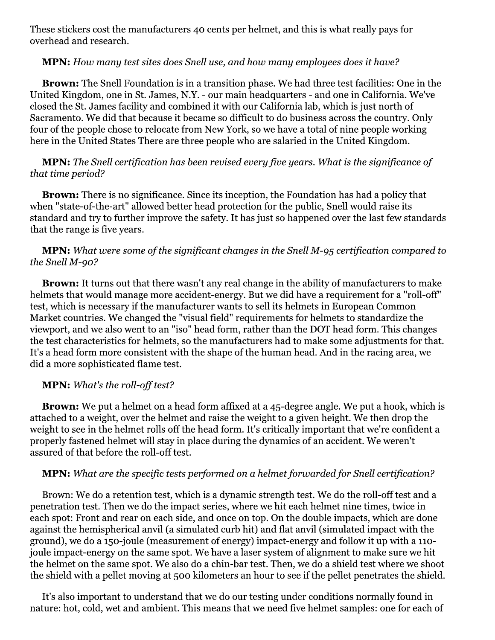These stickers cost the manufacturers 40 cents per helmet, and this is what really pays for overhead and research.

#### **MPN:** How many test sites does Snell use, and how many employees does it have?

**Brown:** The Snell Foundation is in a transition phase. We had three test facilities: One in the United Kingdom, one in St. James, N.Y. - our main headquarters - and one in California. We've closed the St. James facility and combined it with our California lab, which is just north of Sacramento. We did that because it became so difficult to do business across the country. Only four of the people chose to relocate from New York, so we have a total of nine people working here in the United States There are three people who are salaried in the United Kingdom.

# **MPN:** The Snell certification has been revised every five years. What is the significance of that time period?

**Brown:** There is no significance. Since its inception, the Foundation has had a policy that when "state-of-the-art" allowed better head protection for the public, Snell would raise its standard and try to further improve the safety. It has just so happened over the last few standards that the range is five years.

# **MPN:** What were some of the significant changes in the Snell M-95 certification compared to the Snell M-90?

**Brown:** It turns out that there wasn't any real change in the ability of manufacturers to make helmets that would manage more accident-energy. But we did have a requirement for a "roll-off" test, which is necessary if the manufacturer wants to sell its helmets in European Common Market countries. We changed the "visual field" requirements for helmets to standardize the viewport, and we also went to an "iso" head form, rather than the DOT head form. This changes the test characteristics for helmets, so the manufacturers had to make some adjustments for that. It's a head form more consistent with the shape of the human head. And in the racing area, we did a more sophisticated flame test.

# **MPN:** What's the roll-off test?

**Brown:** We put a helmet on a head form affixed at a 45-degree angle. We put a hook, which is attached to a weight, over the helmet and raise the weight to a given height. We then drop the weight to see in the helmet rolls off the head form. It's critically important that we're confident a properly fastened helmet will stay in place during the dynamics of an accident. We weren't assured of that before the roll-off test.

# **MPN:** What are the specific tests performed on a helmet forwarded for Snell certification?

Brown: We do a retention test, which is a dynamic strength test. We do the roll-off test and a penetration test. Then we do the impact series, where we hit each helmet nine times, twice in each spot: Front and rear on each side, and once on top. On the double impacts, which are done against the hemispherical anvil (a simulated curb hit) and flat anvil (simulated impact with the ground), we do a 150-joule (measurement of energy) impact-energy and follow it up with a 110joule impact-energy on the same spot. We have a laser system of alignment to make sure we hit the helmet on the same spot. We also do a chin-bar test. Then, we do a shield test where we shoot the shield with a pellet moving at 500 kilometers an hour to see if the pellet penetrates the shield.

It's also important to understand that we do our testing under conditions normally found in nature: hot, cold, wet and ambient. This means that we need five helmet samples: one for each of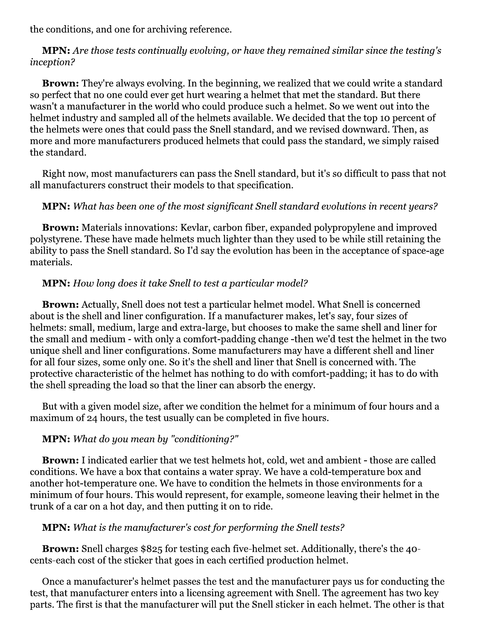the conditions, and one for archiving reference.

**MPN:** Are those tests continually evolving, or have they remained similar since the testing's inception?

**Brown:** They're always evolving. In the beginning, we realized that we could write a standard so perfect that no one could ever get hurt wearing a helmet that met the standard. But there wasn't a manufacturer in the world who could produce such a helmet. So we went out into the helmet industry and sampled all of the helmets available. We decided that the top 10 percent of the helmets were ones that could pass the Snell standard, and we revised downward. Then, as more and more manufacturers produced helmets that could pass the standard, we simply raised the standard.

Right now, most manufacturers can pass the Snell standard, but it's so difficult to pass that not all manufacturers construct their models to that specification.

# **MPN:** What has been one of the most significant Snell standard evolutions in recent years?

**Brown:** Materials innovations: Kevlar, carbon fiber, expanded polypropylene and improved polystyrene. These have made helmets much lighter than they used to be while still retaining the ability to pass the Snell standard. So I'd say the evolution has been in the acceptance of space-age materials.

# **MPN:** How long does it take Snell to test a particular model?

**Brown:** Actually, Snell does not test a particular helmet model. What Snell is concerned about is the shell and liner configuration. If a manufacturer makes, let's say, four sizes of helmets: small, medium, large and extra-large, but chooses to make the same shell and liner for the small and medium - with only a comfort-padding change -then we'd test the helmet in the two unique shell and liner configurations. Some manufacturers may have a different shell and liner for all four sizes, some only one. So it's the shell and liner that Snell is concerned with. The protective characteristic of the helmet has nothing to do with comfort-padding; it has to do with the shell spreading the load so that the liner can absorb the energy.

But with a given model size, after we condition the helmet for a minimum of four hours and a maximum of 24 hours, the test usually can be completed in five hours.

# **MPN:** What do you mean by "conditioning?"

**Brown:** I indicated earlier that we test helmets hot, cold, wet and ambient - those are called conditions. We have a box that contains a water spray. We have a cold-temperature box and another hot-temperature one. We have to condition the helmets in those environments for a minimum of four hours. This would represent, for example, someone leaving their helmet in the trunk of a car on a hot day, and then putting it on to ride.

# **MPN:** What is the manufacturer's cost for performing the Snell tests?

**Brown:** Snell charges \$825 for testing each five-helmet set. Additionally, there's the 40cents-each cost of the sticker that goes in each certified production helmet.

Once a manufacturer's helmet passes the test and the manufacturer pays us for conducting the test, that manufacturer enters into a licensing agreement with Snell. The agreement has two key parts. The first is that the manufacturer will put the Snell sticker in each helmet. The other is that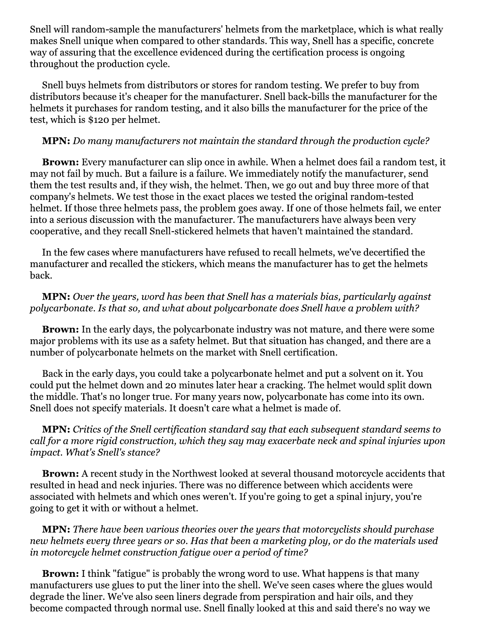Snell will random-sample the manufacturers' helmets from the marketplace, which is what really makes Snell unique when compared to other standards. This way, Snell has a specific, concrete way of assuring that the excellence evidenced during the certification process is ongoing throughout the production cycle.

Snell buys helmets from distributors or stores for random testing. We prefer to buy from distributors because it's cheaper for the manufacturer. Snell back-bills the manufacturer for the helmets it purchases for random testing, and it also bills the manufacturer for the price of the test, which is \$120 per helmet.

#### **MPN:** Do many manufacturers not maintain the standard through the production cycle?

Brown: Every manufacturer can slip once in awhile. When a helmet does fail a random test, it may not fail by much. But a failure is a failure. We immediately notify the manufacturer, send them the test results and, if they wish, the helmet. Then, we go out and buy three more of that company's helmets. We test those in the exact places we tested the original random-tested helmet. If those three helmets pass, the problem goes away. If one of those helmets fail, we enter into a serious discussion with the manufacturer. The manufacturers have always been very cooperative, and they recall Snell-stickered helmets that haven't maintained the standard.

In the few cases where manufacturers have refused to recall helmets, we've decertified the manufacturer and recalled the stickers, which means the manufacturer has to get the helmets back.

# **MPN:** Over the years, word has been that Snell has a materials bias, particularly against polycarbonate. Is that so, and what about polycarbonate does Snell have a problem with?

**Brown:** In the early days, the polycarbonate industry was not mature, and there were some major problems with its use as a safety helmet. But that situation has changed, and there are a number of polycarbonate helmets on the market with Snell certification.

Back in the early days, you could take a polycarbonate helmet and put a solvent on it. You could put the helmet down and 20 minutes later hear a cracking. The helmet would split down the middle. That's no longer true. For many years now, polycarbonate has come into its own. Snell does not specify materials. It doesn't care what a helmet is made of.

# **MPN:** Critics of the Snell certification standard say that each subsequent standard seems to call for a more rigid construction, which they say may exacerbate neck and spinal injuries upon impact. What's Snell's stance?

**Brown:** A recent study in the Northwest looked at several thousand motorcycle accidents that resulted in head and neck injuries. There was no difference between which accidents were associated with helmets and which ones weren't. If you're going to get a spinal injury, you're going to get it with or without a helmet.

### **MPN:** There have been various theories over the years that motorcyclists should purchase new helmets every three years or so. Has that been a marketing ploy, or do the materials used in motorcucle helmet construction fatique over a period of time?

**Brown:** I think "fatigue" is probably the wrong word to use. What happens is that many manufacturers use glues to put the liner into the shell. We've seen cases where the glues would degrade the liner. We've also seen liners degrade from perspiration and hair oils, and they become compacted through normal use. Snell finally looked at this and said there's no way we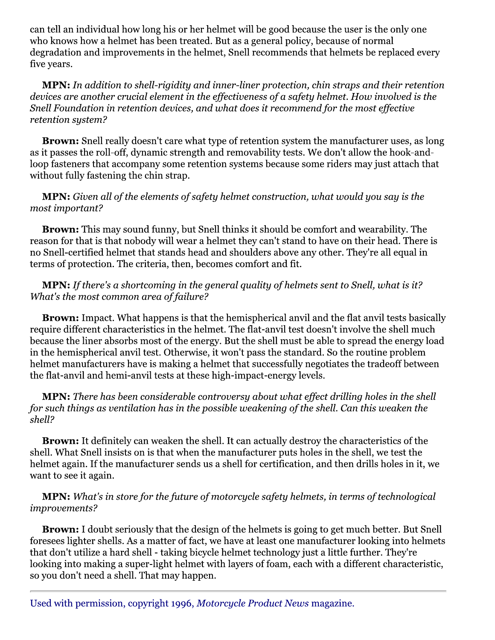can tell an individual how long his or her helmet will be good because the user is the only one who knows how a helmet has been treated. But as a general policy, because of normal degradation and improvements in the helmet, Snell recommends that helmets be replaced every five years.

### MPN: In addition to shell-rigidity and inner-liner protection, chin straps and their retention devices are another crucial element in the effectiveness of a safety helmet. How involved is the Snell Foundation in retention devices, and what does it recommend for the most effective retention system?

Brown: Snell really doesn't care what type of retention system the manufacturer uses, as long as it passes the roll-off, dynamic strength and removability tests. We don't allow the hook-andloop fasteners that accompany some retention systems because some riders may just attach that without fully fastening the chin strap.

# **MPN:** Given all of the elements of safety helmet construction, what would you say is the most important?

**Brown:** This may sound funny, but Snell thinks it should be comfort and wearability. The reason for that is that nobody will wear a helmet they can't stand to have on their head. There is no Snell-certified helmet that stands head and shoulders above any other. They're all equal in terms of protection. The criteria, then, becomes comfort and fit.

# **MPN:** If there's a shortcoming in the general quality of helmets sent to Snell, what is it? What's the most common area of failure?

**Brown:** Impact. What happens is that the hemispherical anvil and the flat anvil tests basically require different characteristics in the helmet. The flat-anvil test doesn't involve the shell much because the liner absorbs most of the energy. But the shell must be able to spread the energy load in the hemispherical anvil test. Otherwise, it won't pass the standard. So the routine problem helmet manufacturers have is making a helmet that successfully negotiates the tradeoff between the flat-anvil and hemi-anvil tests at these high-impact-energy levels.

#### **MPN:** There has been considerable controversy about what effect drilling holes in the shell for such things as ventilation has in the possible weakening of the shell. Can this weaken the shell?

**Brown:** It definitely can weaken the shell. It can actually destroy the characteristics of the shell. What Snell insists on is that when the manufacturer puts holes in the shell, we test the helmet again. If the manufacturer sends us a shell for certification, and then drills holes in it, we want to see it again.

# **MPN:** What's in store for the future of motorcycle safety helmets, in terms of technological improvements?

**Brown:** I doubt seriously that the design of the helmets is going to get much better. But Snell foresees lighter shells. As a matter of fact, we have at least one manufacturer looking into helmets that don't utilize a hard shell - taking bicycle helmet technology just a little further. They're looking into making a super-light helmet with layers of foam, each with a different characteristic, so you don't need a shell. That may happen.